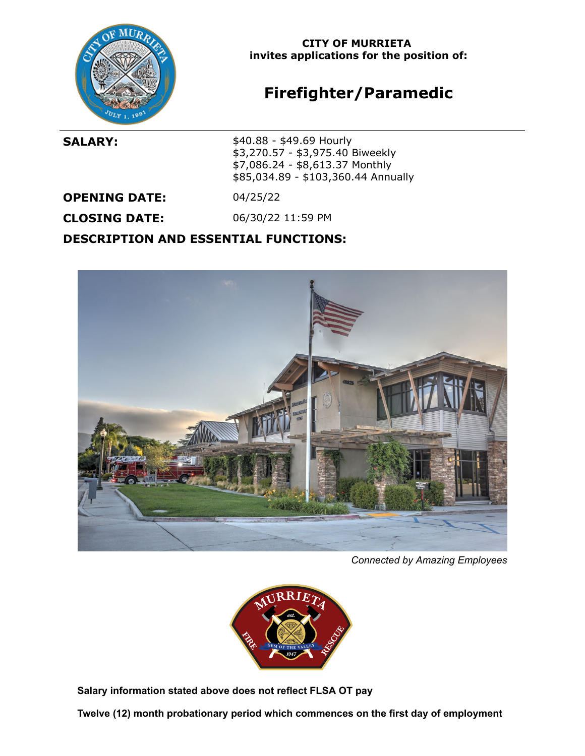

### **CITY OF MURRIETA invites applications for the position of:**

# **Firefighter/Paramedic**

**SALARY:**  $$40.88 - $49.69$  Hourly \$3,270.57 - \$3,975.40 Biweekly \$7,086.24 - \$8,613.37 Monthly \$85,034.89 - \$103,360.44 Annually

**OPENING DATE:** 04/25/22

**CLOSING DATE:** 06/30/22 11:59 PM

**DESCRIPTION AND ESSENTIAL FUNCTIONS:**



*Connected by Amazing Employees*



**Salary information stated above does not reflect FLSA OT pay**

**Twelve (12) month probationary period which commences on the first day of employment**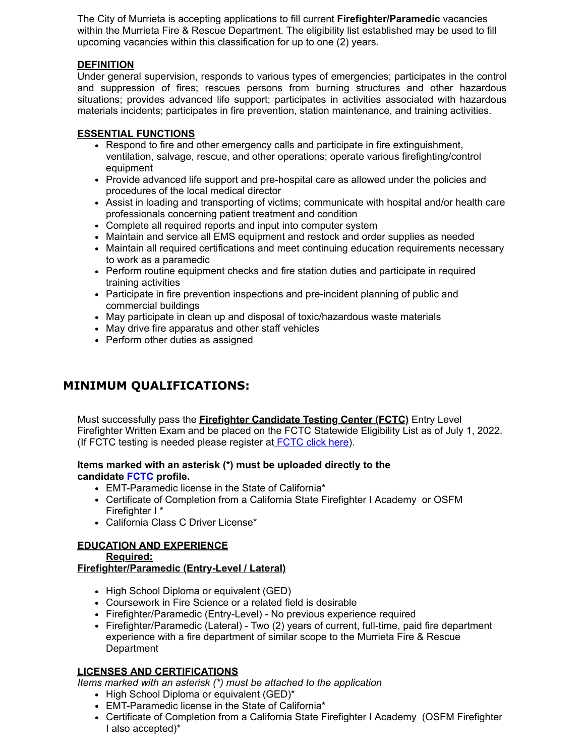The City of Murrieta is accepting applications to fill current **Firefighter/Paramedic** vacancies within the Murrieta Fire & Rescue Department. The eligibility list established may be used to fill upcoming vacancies within this classification for up to one (2) years.

#### **DEFINITION**

Under general supervision, responds to various types of emergencies; participates in the control and suppression of fires; rescues persons from burning structures and other hazardous situations; provides advanced life support; participates in activities associated with hazardous materials incidents; participates in fire prevention, station maintenance, and training activities.

#### **ESSENTIAL FUNCTIONS**

- Respond to fire and other emergency calls and participate in fire extinguishment, ventilation, salvage, rescue, and other operations; operate various firefighting/control equipment
- Provide advanced life support and pre-hospital care as allowed under the policies and procedures of the local medical director
- Assist in loading and transporting of victims; communicate with hospital and/or health care professionals concerning patient treatment and condition
- Complete all required reports and input into computer system
- Maintain and service all EMS equipment and restock and order supplies as needed
- Maintain all required certifications and meet continuing education requirements necessary to work as a paramedic
- Perform routine equipment checks and fire station duties and participate in required training activities
- Participate in fire prevention inspections and pre-incident planning of public and commercial buildings
- May participate in clean up and disposal of toxic/hazardous waste materials
- May drive fire apparatus and other staff vehicles
- Perform other duties as assigned

## **MINIMUM QUALIFICATIONS:**

Must successfully pass the **Firefighter Candidate Testing Center (FCTC)** Entry Level Firefighter Written Exam and be placed on the FCTC Statewide Eligibility List as of July 1, 2022. (If FCTC testing is needed please register at **[FCTC click here](https://www.fctconline.org/written-testing/)**).

#### **Items marked with an asterisk (\*) must be uploaded directly to the candidate [FCTC](https://www.fctconline.org/written-testing/) profile.**

- EMT-Paramedic license in the State of California\*
- Certificate of Completion from a California State Firefighter I Academy or OSFM Firefighter I \*
- California Class C Driver License\*

#### **EDUCATION AND EXPERIENCE**

#### **Required: Firefighter/Paramedic (Entry-Level / Lateral)**

- High School Diploma or equivalent (GED)
- Coursework in Fire Science or a related field is desirable
- Firefighter/Paramedic (Entry-Level) No previous experience required
- Firefighter/Paramedic (Lateral) Two (2) years of current, full-time, paid fire department experience with a fire department of similar scope to the Murrieta Fire & Rescue **Department**

#### **LICENSES AND CERTIFICATIONS**

*Items marked with an asterisk (\*) must be attached to the application*

- High School Diploma or equivalent (GED)\*
- EMT-Paramedic license in the State of California\*
- Certificate of Completion from a California State Firefighter I Academy (OSFM Firefighter I also accepted)\*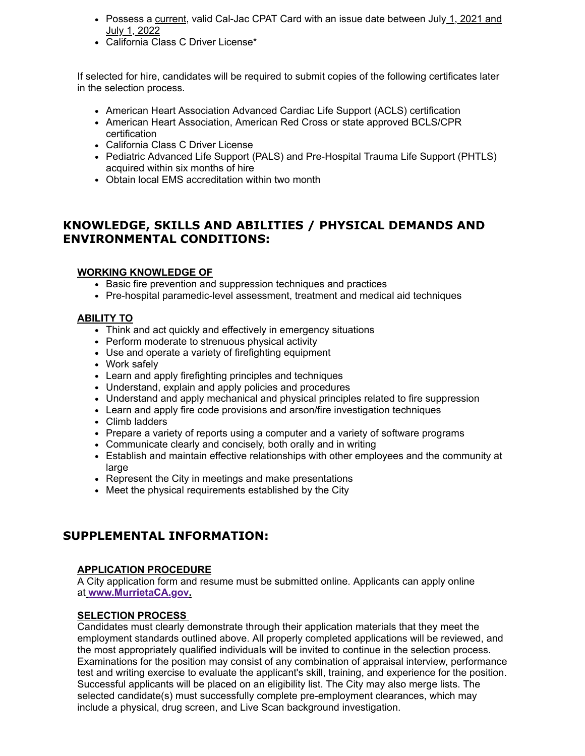- Possess a current, valid Cal-Jac CPAT Card with an issue date between July 1, 2021 and July 1, 2022
- California Class C Driver License\*

If selected for hire, candidates will be required to submit copies of the following certificates later in the selection process.

- American Heart Association Advanced Cardiac Life Support (ACLS) certification
- American Heart Association, American Red Cross or state approved BCLS/CPR certification
- California Class C Driver License
- Pediatric Advanced Life Support (PALS) and Pre-Hospital Trauma Life Support (PHTLS) acquired within six months of hire
- Obtain local EMS accreditation within two month

## **KNOWLEDGE, SKILLS AND ABILITIES / PHYSICAL DEMANDS AND ENVIRONMENTAL CONDITIONS:**

#### **WORKING KNOWLEDGE OF**

- Basic fire prevention and suppression techniques and practices
- Pre-hospital paramedic-level assessment, treatment and medical aid techniques

#### **ABILITY TO**

- Think and act quickly and effectively in emergency situations
- Perform moderate to strenuous physical activity
- Use and operate a variety of firefighting equipment
- Work safely
- Learn and apply firefighting principles and techniques
- Understand, explain and apply policies and procedures
- Understand and apply mechanical and physical principles related to fire suppression
- Learn and apply fire code provisions and arson/fire investigation techniques
- Climb ladders
- Prepare a variety of reports using a computer and a variety of software programs
- Communicate clearly and concisely, both orally and in writing
- Establish and maintain effective relationships with other employees and the community at large
- Represent the City in meetings and make presentations
- Meet the physical requirements established by the City

## **SUPPLEMENTAL INFORMATION:**

#### **APPLICATION PROCEDURE**

A City application form and resume must be submitted online. Applicants can apply online at **[www.MurrietaCA.gov.](https://www.governmentjobs.com/careers/murrieta?)**

#### **SELECTION PROCESS**

Candidates must clearly demonstrate through their application materials that they meet the employment standards outlined above. All properly completed applications will be reviewed, and the most appropriately qualified individuals will be invited to continue in the selection process. Examinations for the position may consist of any combination of appraisal interview, performance test and writing exercise to evaluate the applicant's skill, training, and experience for the position. Successful applicants will be placed on an eligibility list. The City may also merge lists. The selected candidate(s) must successfully complete pre-employment clearances, which may include a physical, drug screen, and Live Scan background investigation.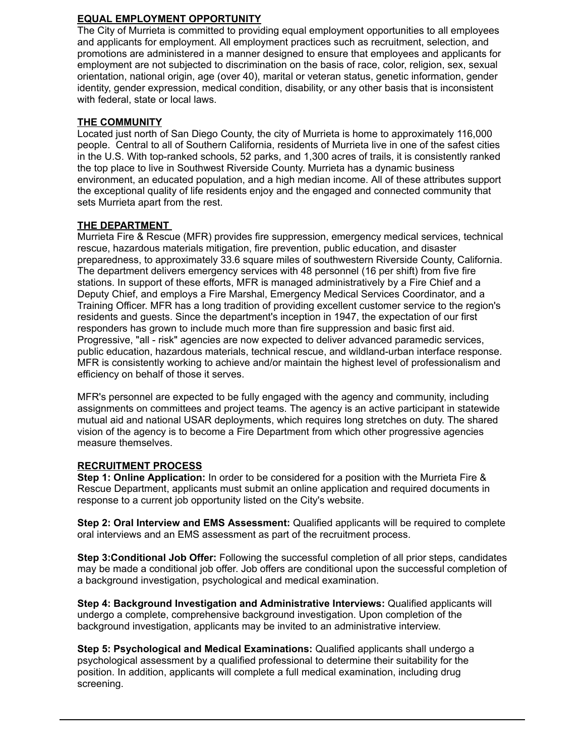#### **EQUAL EMPLOYMENT OPPORTUNITY**

The City of Murrieta is committed to providing equal employment opportunities to all employees and applicants for employment. All employment practices such as recruitment, selection, and promotions are administered in a manner designed to ensure that employees and applicants for employment are not subjected to discrimination on the basis of race, color, religion, sex, sexual orientation, national origin, age (over 40), marital or veteran status, genetic information, gender identity, gender expression, medical condition, disability, or any other basis that is inconsistent with federal, state or local laws.

#### **THE COMMUNITY**

Located just north of San Diego County, the city of Murrieta is home to approximately 116,000 people. Central to all of Southern California, residents of Murrieta live in one of the safest cities in the U.S. With top-ranked schools, 52 parks, and 1,300 acres of trails, it is consistently ranked the top place to live in Southwest Riverside County. Murrieta has a dynamic business environment, an educated population, and a high median income. All of these attributes support the exceptional quality of life residents enjoy and the engaged and connected community that sets Murrieta apart from the rest.

#### **THE DEPARTMENT**

Murrieta Fire & Rescue (MFR) provides fire suppression, emergency medical services, technical rescue, hazardous materials mitigation, fire prevention, public education, and disaster preparedness, to approximately 33.6 square miles of southwestern Riverside County, California. The department delivers emergency services with 48 personnel (16 per shift) from five fire stations. In support of these efforts, MFR is managed administratively by a Fire Chief and a Deputy Chief, and employs a Fire Marshal, Emergency Medical Services Coordinator, and a Training Officer. MFR has a long tradition of providing excellent customer service to the region's residents and guests. Since the department's inception in 1947, the expectation of our first responders has grown to include much more than fire suppression and basic first aid. Progressive, "all - risk" agencies are now expected to deliver advanced paramedic services, public education, hazardous materials, technical rescue, and wildland-urban interface response. MFR is consistently working to achieve and/or maintain the highest level of professionalism and efficiency on behalf of those it serves.

MFR's personnel are expected to be fully engaged with the agency and community, including assignments on committees and project teams. The agency is an active participant in statewide mutual aid and national USAR deployments, which requires long stretches on duty. The shared vision of the agency is to become a Fire Department from which other progressive agencies measure themselves.

#### **RECRUITMENT PROCESS**

**Step 1: Online Application:** In order to be considered for a position with the Murrieta Fire & Rescue Department, applicants must submit an online application and required documents in response to a current job opportunity listed on the City's website.

**Step 2: Oral Interview and EMS Assessment:** Qualified applicants will be required to complete oral interviews and an EMS assessment as part of the recruitment process.

**Step 3:Conditional Job Offer:** Following the successful completion of all prior steps, candidates may be made a conditional job offer. Job offers are conditional upon the successful completion of a background investigation, psychological and medical examination.

**Step 4: Background Investigation and Administrative Interviews:** Qualified applicants will undergo a complete, comprehensive background investigation. Upon completion of the background investigation, applicants may be invited to an administrative interview.

**Step 5: Psychological and Medical Examinations:** Qualified applicants shall undergo a psychological assessment by a qualified professional to determine their suitability for the position. In addition, applicants will complete a full medical examination, including drug screening.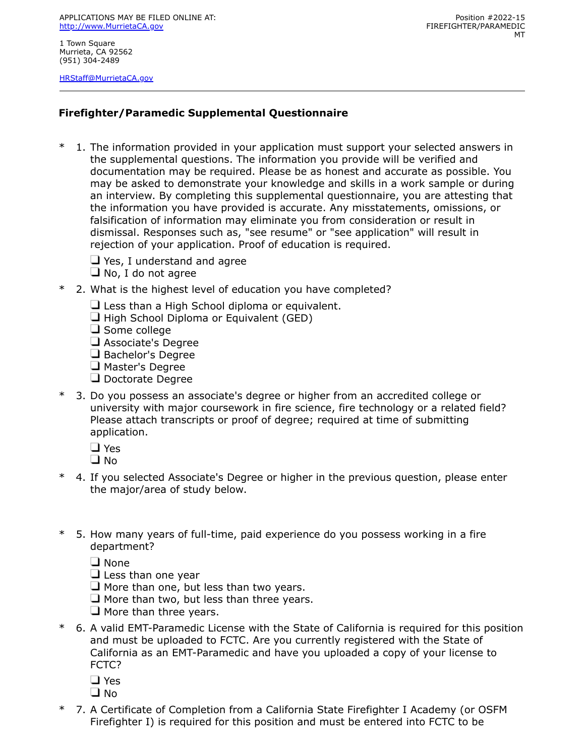APPLICATIONS MAY BE FILED ONLINE AT: [http://www.MurrietaCA.gov](http://www.murrietaca.gov/)

1 Town Square Murrieta, CA 92562 (951) 304-2489

[HRStaff@MurrietaCA.gov](mailto:HRStaff@MurrietaCA.gov)

## **Firefighter/Paramedic Supplemental Questionnaire**

- \* 1. The information provided in your application must support your selected answers in the supplemental questions. The information you provide will be verified and documentation may be required. Please be as honest and accurate as possible. You may be asked to demonstrate your knowledge and skills in a work sample or during an interview. By completing this supplemental questionnaire, you are attesting that the information you have provided is accurate. Any misstatements, omissions, or falsification of information may eliminate you from consideration or result in dismissal. Responses such as, "see resume" or "see application" will result in rejection of your application. Proof of education is required.
	- $\Box$  Yes, I understand and agree
	- $\Box$  No, I do not agree
- \* 2. What is the highest level of education you have completed?
	- $\Box$  Less than a High School diploma or equivalent.
	- $\Box$  High School Diploma or Equivalent (GED)
	- $\Box$  Some college
	- Associate's Degree
	- Bachelor's Degree
	- Master's Degree
	- Doctorate Degree
- \* 3. Do you possess an associate's degree or higher from an accredited college or university with major coursework in fire science, fire technology or a related field? Please attach transcripts or proof of degree; required at time of submitting application.
	- □ Yes
	- □ No
- \* 4. If you selected Associate's Degree or higher in the previous question, please enter the major/area of study below.
- \* 5. How many years of full-time, paid experience do you possess working in a fire department?
	- $\square$  None
	- $\Box$  Less than one year
	- $\Box$  More than one, but less than two years.
	- $\Box$  More than two, but less than three years.
	- $\Box$  More than three years.
- \* 6. A valid EMT-Paramedic License with the State of California is required for this position and must be uploaded to FCTC. Are you currently registered with the State of California as an EMT-Paramedic and have you uploaded a copy of your license to FCTC?
	- □ Yes
	- $\square$  No
- \* 7. A Certificate of Completion from a California State Firefighter I Academy (or OSFM Firefighter I) is required for this position and must be entered into FCTC to be